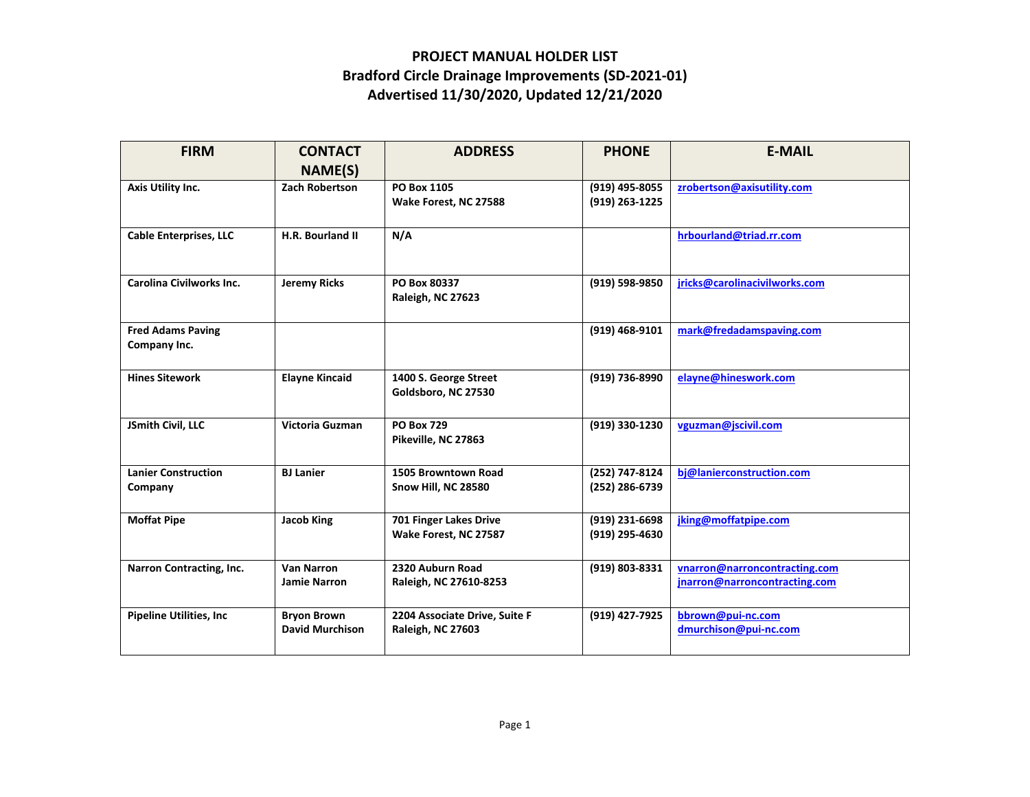## **PROJECT MANUAL HOLDER LIST Bradford Circle Drainage Improvements (SD‐2021‐01) Advertised 11/30/2020, Updated 12/21/2020**

| <b>FIRM</b>                              | <b>CONTACT</b><br>NAME(S)                    | <b>ADDRESS</b>                                            | <b>PHONE</b>                     | <b>E-MAIL</b>                                                  |
|------------------------------------------|----------------------------------------------|-----------------------------------------------------------|----------------------------------|----------------------------------------------------------------|
| Axis Utility Inc.                        | <b>Zach Robertson</b>                        | PO Box 1105<br>Wake Forest, NC 27588                      | (919) 495-8055<br>(919) 263-1225 | zrobertson@axisutility.com                                     |
| <b>Cable Enterprises, LLC</b>            | H.R. Bourland II                             | N/A                                                       |                                  | hrbourland@triad.rr.com                                        |
| Carolina Civilworks Inc.                 | <b>Jeremy Ricks</b>                          | PO Box 80337<br>Raleigh, NC 27623                         | (919) 598-9850                   | jricks@carolinacivilworks.com                                  |
| <b>Fred Adams Paving</b><br>Company Inc. |                                              |                                                           | (919) 468-9101                   | mark@fredadamspaving.com                                       |
| <b>Hines Sitework</b>                    | <b>Elayne Kincaid</b>                        | 1400 S. George Street<br>Goldsboro, NC 27530              | (919) 736-8990                   | elayne@hineswork.com                                           |
| JSmith Civil, LLC                        | Victoria Guzman                              | <b>PO Box 729</b><br>Pikeville, NC 27863                  | (919) 330-1230                   | vguzman@jscivil.com                                            |
| <b>Lanier Construction</b><br>Company    | <b>BJ</b> Lanier                             | 1505 Browntown Road<br><b>Snow Hill, NC 28580</b>         | (252) 747-8124<br>(252) 286-6739 | bj@lanierconstruction.com                                      |
| <b>Moffat Pipe</b>                       | <b>Jacob King</b>                            | 701 Finger Lakes Drive<br>Wake Forest, NC 27587           | (919) 231-6698<br>(919) 295-4630 | jking@moffatpipe.com                                           |
| Narron Contracting, Inc.                 | <b>Van Narron</b><br><b>Jamie Narron</b>     | 2320 Auburn Road<br>Raleigh, NC 27610-8253                | (919) 803-8331                   | vnarron@narroncontracting.com<br>jnarron@narroncontracting.com |
| <b>Pipeline Utilities, Inc.</b>          | <b>Bryon Brown</b><br><b>David Murchison</b> | 2204 Associate Drive, Suite F<br><b>Raleigh, NC 27603</b> | (919) 427-7925                   | bbrown@pui-nc.com<br>dmurchison@pui-nc.com                     |